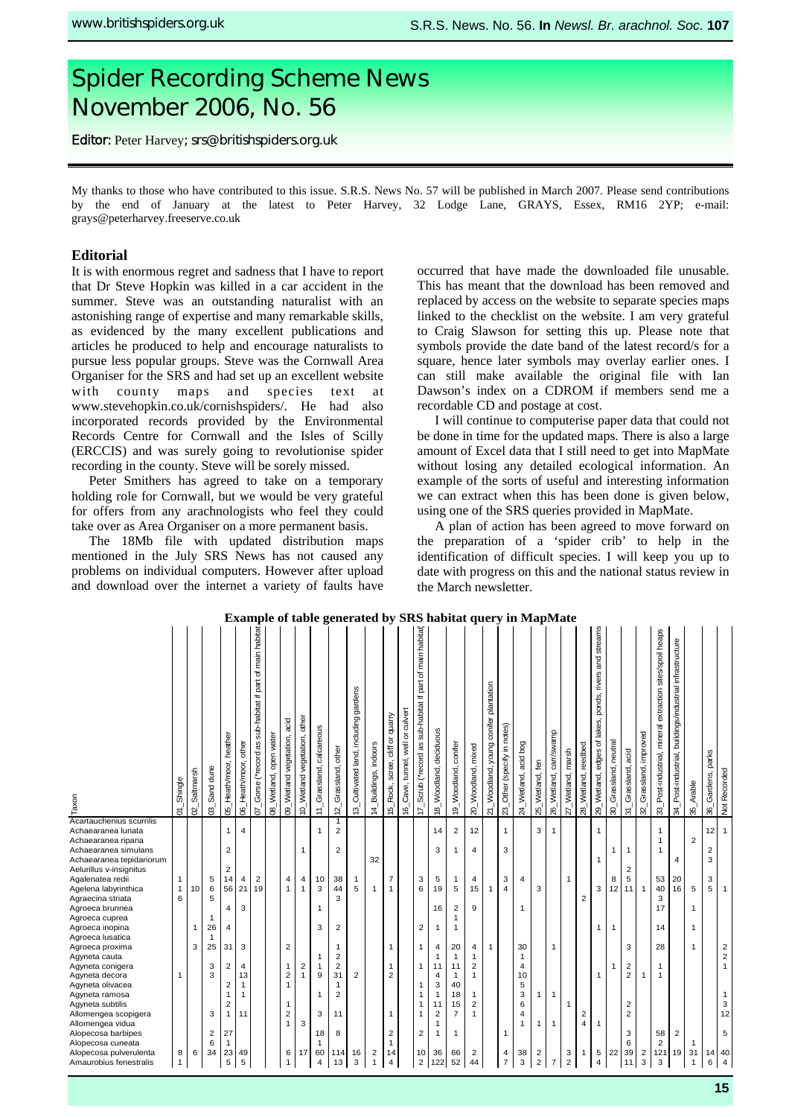# Spider Recording Scheme News November 2006, No. 56

**srs@britishspiders.org.uk**  Editor: Peter Harvey; srs@britishspiders.org.uk

My thanks to those who have contributed to this issue. S.R.S. News No. 57 will be published in March 2007. Please send contributions by the end of January at the latest to Peter Harvey, 32 Lodge Lane, GRAYS, Essex, RM16 2YP; e-mail: grays@peterharvey.freeserve.co.uk

# **Editorial**

It is with enormous regret and sadness that I have to report that Dr Steve Hopkin was killed in a car accident in the summer. Steve was an outstanding naturalist with an astonishing range of expertise and many remarkable skills, as evidenced by the many excellent publications and articles he produced to help and encourage naturalists to pursue less popular groups. Steve was the Cornwall Area Organiser for the SRS and had set up an excellent website with county maps and species text at www.stevehopkin.co.uk/cornishspiders/. He had also incorporated records provided by the Environmental Records Centre for Cornwall and the Isles of Scilly (ERCCIS) and was surely going to revolutionise spider recording in the county. Steve will be sorely missed.

Peter Smithers has agreed to take on a temporary holding role for Cornwall, but we would be very grateful for offers from any arachnologists who feel they could take over as Area Organiser on a more permanent basis.

The 18Mb file with updated distribution maps mentioned in the July SRS News has not caused any problems on individual computers. However after upload and download over the internet a variety of faults have occurred that have made the downloaded file unusable. This has meant that the download has been removed and replaced by access on the website to separate species maps linked to the checklist on the website. I am very grateful to Craig Slawson for setting this up. Please note that symbols provide the date band of the latest record/s for a square, hence later symbols may overlay earlier ones. I can still make available the original file with Ian Dawson's index on a CDROM if members send me a recordable CD and postage at cost.

I will continue to computerise paper data that could not be done in time for the updated maps. There is also a large amount of Excel data that I still need to get into MapMate without losing any detailed ecological information. An example of the sorts of useful and interesting information we can extract when this has been done is given below, using one of the SRS queries provided in MapMate.

A plan of action has been agreed to move forward on the preparation of a 'spider crib' to help in the identification of difficult species. I will keep you up to date with progress on this and the national status review in the March newsletter.

| Taxon                                          | 01_Shingle     | Saltmarsh<br>$\mathbf{S}$ | 03_Sand dune            | 05_Heath/moor, heather  | other<br>06_Heath/moor, | main habitat<br>৳<br>sub-habitat if part<br>07_Gorse (*record as | water<br>open<br>08_Wetland, | acid<br>09_Wetland vegetation, | 10_Wetland vegetation, other | calcareous<br>11_Grassland, | 12_Grassland, other              | 13_Cultivated land, including gardens | 14_Buildings, indoors | cliff or quarry<br>15_Rock, scree, | Cave, tunnel, well or culvert<br>$\overline{6}$ | main habitat<br>৳<br>Tec<br>Ŧ.<br>sub-habitat<br><sup>*record</sup> as<br>Scrub<br>$\overline{\tau}$ | 18_Woodland, deciduous       | 19_Woodland, conifer | 20_Woodland, mixed      | 21_Woodland, young conifer plantation | 23_Other (specify in notes) | 24_Wetland, acid bog | 25_Wetland, fen         | carr/swamp<br>26_Wetland, | 27_Wetland, marsh | reedbed<br>28_Wetland,  | rivers and streams<br>lakes, ponds,<br>edges of<br>29_Wetland, | 30_Grassland, neutral | acid<br>31_Grassland,   | improved<br>Grassland,<br>$\overline{32}$ | extraction sites/spoil heaps<br>mineral<br>33_Post-industrial, | infrastructure<br>buildings/industrial<br>34_Post-industrial, | Arable<br>35 <sup>1</sup> | 36_Gardens, parks       | Not Recorded                               |
|------------------------------------------------|----------------|---------------------------|-------------------------|-------------------------|-------------------------|------------------------------------------------------------------|------------------------------|--------------------------------|------------------------------|-----------------------------|----------------------------------|---------------------------------------|-----------------------|------------------------------------|-------------------------------------------------|------------------------------------------------------------------------------------------------------|------------------------------|----------------------|-------------------------|---------------------------------------|-----------------------------|----------------------|-------------------------|---------------------------|-------------------|-------------------------|----------------------------------------------------------------|-----------------------|-------------------------|-------------------------------------------|----------------------------------------------------------------|---------------------------------------------------------------|---------------------------|-------------------------|--------------------------------------------|
| Acartauchenius scurrilis<br>Achaearanea lunata |                |                           |                         | $\mathbf{1}$            | $\overline{4}$          |                                                                  |                              |                                |                              | $\mathbf{1}$                | $\overline{1}$<br>$\overline{2}$ |                                       |                       |                                    |                                                 |                                                                                                      | 14                           | $\overline{2}$       | 12                      |                                       | $\mathbf{1}$                |                      | 3                       | $\overline{1}$            |                   |                         | $\mathbf{1}$                                                   |                       |                         |                                           | $\mathbf{1}$                                                   |                                                               |                           | 12                      | $\overline{1}$                             |
| Achaearanea riparia                            |                |                           |                         |                         |                         |                                                                  |                              |                                |                              |                             |                                  |                                       |                       |                                    |                                                 |                                                                                                      |                              |                      |                         |                                       |                             |                      |                         |                           |                   |                         |                                                                |                       |                         |                                           | $\mathbf{1}$                                                   |                                                               | $\overline{2}$            |                         |                                            |
| Achaearanea simulans                           |                |                           |                         | 2                       |                         |                                                                  |                              |                                | $\mathbf{1}$                 |                             | $\overline{\mathbf{c}}$          |                                       |                       |                                    |                                                 |                                                                                                      | 3                            | 1                    | 4                       |                                       | 3                           |                      |                         |                           |                   |                         |                                                                | 1                     | $\mathbf{1}$            |                                           | $\overline{1}$                                                 |                                                               |                           | $\overline{\mathbf{c}}$ |                                            |
| Achaearanea tepidariorum                       |                |                           |                         |                         |                         |                                                                  |                              |                                |                              |                             |                                  |                                       | 32                    |                                    |                                                 |                                                                                                      |                              |                      |                         |                                       |                             |                      |                         |                           |                   |                         | $\mathbf{1}$                                                   |                       |                         |                                           |                                                                | 4                                                             |                           | 3                       |                                            |
| Aelurillus v-insignitus                        |                |                           |                         | $\overline{2}$          |                         |                                                                  |                              |                                |                              |                             |                                  |                                       |                       |                                    |                                                 |                                                                                                      |                              |                      |                         |                                       |                             |                      |                         |                           |                   |                         |                                                                |                       | $\overline{2}$          |                                           |                                                                |                                                               |                           |                         |                                            |
| Agalenatea redii                               | $\mathbf{1}$   |                           | 5                       | 14                      | 4                       | $\overline{2}$                                                   |                              | 4                              | 4                            | 10                          | 38                               | 1                                     |                       | $\overline{7}$                     |                                                 | 3                                                                                                    | 5                            | 1                    | 4                       |                                       | 3                           | 4                    |                         |                           | $\mathbf{1}$      |                         |                                                                | 8                     | 5                       |                                           | 53                                                             | 20                                                            |                           | 3                       |                                            |
| Agelena labyrinthica                           | $\mathbf{1}$   | 10                        | 6                       |                         | 56 21                   | 19                                                               |                              | $\mathbf{1}$                   | $\mathbf{1}$                 | 3                           | 44                               | 5                                     | $\mathbf{1}$          | 1                                  |                                                 | 6                                                                                                    | 19                           | 5                    | 15                      | 1                                     | $\overline{4}$              |                      | 3                       |                           |                   |                         | 3                                                              | 12                    | 11 <sup>1</sup>         | $\overline{1}$                            | 40                                                             | 16                                                            | 5                         | 5                       | $\overline{1}$                             |
| Agraecina striata                              | 6              |                           | 5                       |                         |                         |                                                                  |                              |                                |                              |                             | 3                                |                                       |                       |                                    |                                                 |                                                                                                      |                              |                      |                         |                                       |                             | 1                    |                         |                           |                   | $\overline{\mathbf{c}}$ |                                                                |                       |                         |                                           | 3                                                              |                                                               |                           |                         |                                            |
| Agroeca brunnea<br>Agroeca cuprea              |                |                           | 1                       | 4                       | 3                       |                                                                  |                              |                                |                              | 1                           |                                  |                                       |                       |                                    |                                                 |                                                                                                      | 16                           | 2<br>1               | 9                       |                                       |                             |                      |                         |                           |                   |                         |                                                                |                       |                         |                                           | 17                                                             |                                                               | 1                         |                         |                                            |
| Agroeca inopina                                |                | 1                         | 26                      | 4                       |                         |                                                                  |                              |                                |                              | 3                           | $\overline{\mathbf{c}}$          |                                       |                       |                                    |                                                 | 2                                                                                                    | $\mathbf{1}$                 | 1                    |                         |                                       |                             |                      |                         |                           |                   |                         | $\overline{1}$                                                 | $\mathbf{1}$          |                         |                                           | 14                                                             |                                                               | $\mathbf{1}$              |                         |                                            |
| Agroeca lusatica                               |                |                           | $\mathbf{1}$            |                         |                         |                                                                  |                              |                                |                              |                             |                                  |                                       |                       |                                    |                                                 |                                                                                                      |                              |                      |                         |                                       |                             |                      |                         |                           |                   |                         |                                                                |                       |                         |                                           |                                                                |                                                               |                           |                         |                                            |
| Agroeca proxima                                |                | 3                         | 25                      | 31                      | 3                       |                                                                  |                              | 2                              |                              |                             | 1                                |                                       |                       | 1                                  |                                                 | 1                                                                                                    | 4                            | 20                   | $\overline{4}$          | 1                                     |                             | 30                   |                         | $\mathbf 1$               |                   |                         |                                                                |                       | 3                       |                                           | 28                                                             |                                                               | $\mathbf{1}$              |                         |                                            |
| Agyneta cauta                                  |                |                           |                         |                         |                         |                                                                  |                              |                                |                              | 1                           | 2                                |                                       |                       |                                    |                                                 |                                                                                                      | 1                            | 1                    |                         |                                       |                             | $\mathbf{1}$         |                         |                           |                   |                         |                                                                |                       |                         |                                           |                                                                |                                                               |                           |                         | $\begin{array}{c} 2 \\ 2 \\ 1 \end{array}$ |
| Agyneta conigera                               |                |                           | 3                       | $\overline{2}$          | 4                       |                                                                  |                              | 1                              | $\boldsymbol{2}$             | $\mathbf{1}$                | $\overline{\mathbf{c}}$          |                                       |                       | 1                                  |                                                 | 1                                                                                                    | 11                           | 11                   | 2                       |                                       |                             | 4                    |                         |                           |                   |                         |                                                                |                       | $\overline{\mathbf{c}}$ |                                           | 1                                                              |                                                               |                           |                         |                                            |
| Agyneta decora                                 | 1              |                           | 3                       |                         | 13                      |                                                                  |                              | $\overline{\mathbf{c}}$        | $\mathbf{1}$                 | 9                           | 31                               | $\overline{2}$                        |                       | 2                                  |                                                 |                                                                                                      | 4                            | 1                    | 1                       |                                       |                             | 10                   |                         |                           |                   |                         | 1                                                              |                       | $\overline{\mathbf{c}}$ | 1                                         | $\mathbf{1}$                                                   |                                                               |                           |                         |                                            |
| Agyneta olivacea                               |                |                           |                         | $\overline{2}$          | 1                       |                                                                  |                              | 1                              |                              |                             | 1                                |                                       |                       |                                    |                                                 | 1                                                                                                    | 3                            | 40                   |                         |                                       |                             | 5                    |                         |                           |                   |                         |                                                                |                       |                         |                                           |                                                                |                                                               |                           |                         |                                            |
| Agyneta ramosa                                 |                |                           |                         | $\overline{1}$          | $\mathbf 1$             |                                                                  |                              |                                |                              | 1                           | $\overline{2}$                   |                                       |                       |                                    |                                                 |                                                                                                      | $\mathbf{1}$                 | 18                   |                         |                                       |                             | 3                    | 1                       | $\overline{1}$            |                   |                         |                                                                |                       |                         |                                           |                                                                |                                                               |                           |                         | $\mathbf{1}$                               |
| Agyneta subtilis                               |                |                           |                         | $\overline{\mathbf{c}}$ |                         |                                                                  |                              | 1                              |                              |                             |                                  |                                       |                       |                                    |                                                 | 1                                                                                                    | 11                           | 15                   | $\overline{\mathbf{c}}$ |                                       |                             | 6                    |                         |                           | $\mathbf 1$       |                         |                                                                |                       | $\overline{2}$          |                                           |                                                                |                                                               |                           |                         | 3<br>12                                    |
| Allomengea scopigera<br>Allomengea vidua       |                |                           | 3                       | $\mathbf{1}$            | 11                      |                                                                  |                              | $\overline{2}$<br>$\mathbf{1}$ | 3                            | 3                           | 11                               |                                       |                       | 1                                  |                                                 |                                                                                                      | $\overline{\mathbf{c}}$<br>1 | $\overline{7}$       | 1                       |                                       |                             | 4<br>1               | -1                      | -1                        |                   | $\overline{2}$<br>4     | 1                                                              |                       | $\overline{2}$          |                                           |                                                                |                                                               |                           |                         |                                            |
| Alopecosa barbipes                             |                |                           | $\overline{\mathbf{c}}$ | 27                      |                         |                                                                  |                              |                                |                              | 18                          | 8                                |                                       |                       | 2                                  |                                                 | 2                                                                                                    | 1                            | 1                    |                         |                                       | 1                           |                      |                         |                           |                   |                         |                                                                |                       | 3                       |                                           | 58                                                             | $\overline{2}$                                                |                           |                         | 5                                          |
| Alopecosa cuneata                              |                |                           | 6                       |                         |                         |                                                                  |                              |                                |                              | 1                           |                                  |                                       |                       | 1                                  |                                                 |                                                                                                      |                              |                      |                         |                                       |                             |                      |                         |                           |                   |                         |                                                                |                       | 6                       |                                           | 2                                                              |                                                               |                           |                         |                                            |
| Alopecosa pulverulenta                         | 8              | 6                         | 34                      | 23                      | 49                      |                                                                  |                              | 6                              | 17                           | 60                          | 114                              | 16                                    | 2                     | 14                                 |                                                 | 10                                                                                                   | 36                           | 66                   | $\overline{c}$          |                                       | 4                           | 38                   | $\overline{\mathbf{c}}$ |                           | 3                 | 1                       | $\,$ 5 $\,$                                                    | 22                    | 39                      | $\overline{\mathbf{c}}$                   | 121                                                            | 19                                                            | 31                        | 14                      | 40                                         |
| Amaurobius fenestralis                         | $\overline{1}$ |                           |                         | 5                       | 5                       |                                                                  |                              | $\overline{1}$                 |                              | 4                           | 13                               | 3                                     | $\overline{1}$        | $\overline{4}$                     |                                                 | $\overline{2}$                                                                                       |                              | 52                   | 44                      |                                       | $\overline{7}$              | 3                    | $\overline{2}$          | $\overline{7}$            | $\overline{2}$    |                         | $\overline{4}$                                                 |                       | 11                      | 3                                         | 3                                                              |                                                               | 1                         | 6                       | $\overline{4}$                             |

#### **Example of table generated by SRS habitat query in MapMate**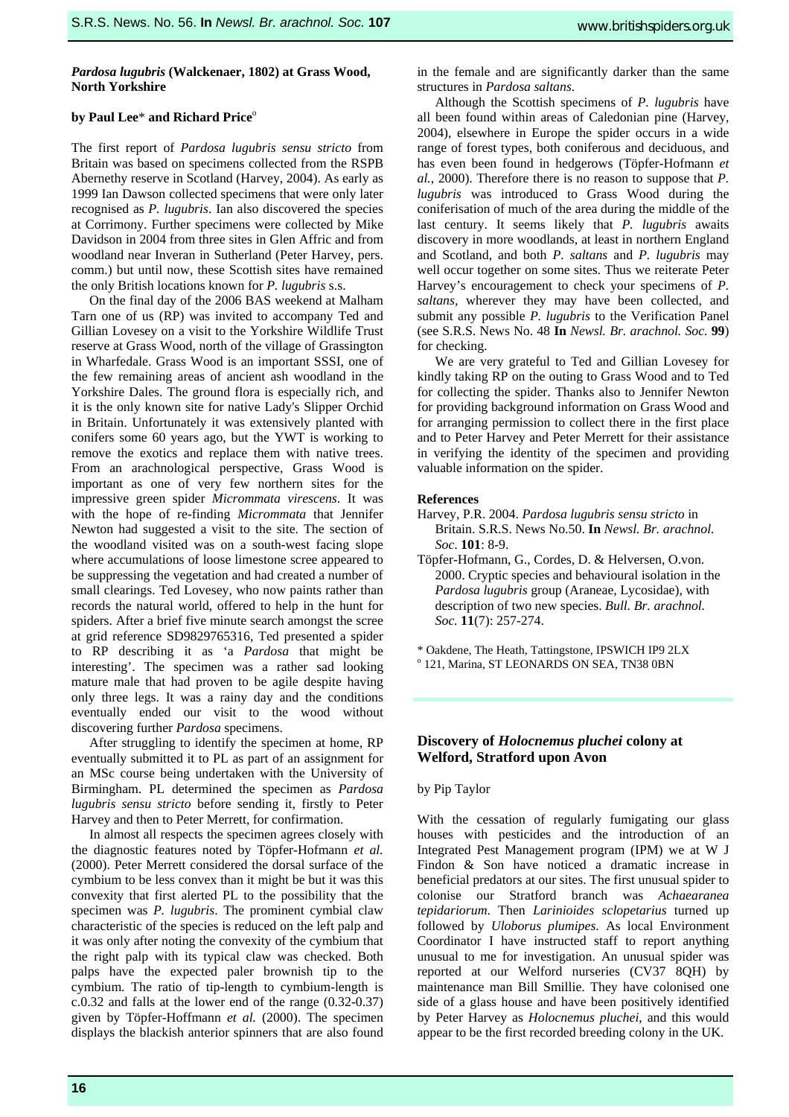# *Pardosa lugubris* **(Walckenaer, 1802) at Grass Wood, North Yorkshire**

#### by Paul Lee<sup>\*</sup> and Richard Price<sup>o</sup>

The first report of *Pardosa lugubris sensu stricto* from Britain was based on specimens collected from the RSPB Abernethy reserve in Scotland (Harvey, 2004). As early as 1999 Ian Dawson collected specimens that were only later recognised as *P. lugubris*. Ian also discovered the species at Corrimony. Further specimens were collected by Mike Davidson in 2004 from three sites in Glen Affric and from woodland near Inveran in Sutherland (Peter Harvey, pers. comm.) but until now, these Scottish sites have remained the only British locations known for *P. lugubris* s.s.

On the final day of the 2006 BAS weekend at Malham Tarn one of us (RP) was invited to accompany Ted and Gillian Lovesey on a visit to the Yorkshire Wildlife Trust reserve at Grass Wood, north of the village of Grassington in Wharfedale. Grass Wood is an important SSSI, one of the few remaining areas of ancient ash woodland in the Yorkshire Dales. The ground flora is especially rich, and it is the only known site for native Lady's Slipper Orchid in Britain. Unfortunately it was extensively planted with conifers some 60 years ago, but the YWT is working to remove the exotics and replace them with native trees. From an arachnological perspective, Grass Wood is important as one of very few northern sites for the impressive green spider *Micrommata virescens*. It was with the hope of re-finding *Micrommata* that Jennifer Newton had suggested a visit to the site. The section of the woodland visited was on a south-west facing slope where accumulations of loose limestone scree appeared to be suppressing the vegetation and had created a number of small clearings. Ted Lovesey, who now paints rather than records the natural world, offered to help in the hunt for spiders. After a brief five minute search amongst the scree at grid reference SD9829765316, Ted presented a spider to RP describing it as 'a *Pardosa* that might be interesting'. The specimen was a rather sad looking mature male that had proven to be agile despite having only three legs. It was a rainy day and the conditions eventually ended our visit to the wood without discovering further *Pardosa* specimens.

After struggling to identify the specimen at home, RP eventually submitted it to PL as part of an assignment for an MSc course being undertaken with the University of Birmingham. PL determined the specimen as *Pardosa lugubris sensu stricto* before sending it, firstly to Peter Harvey and then to Peter Merrett, for confirmation.

In almost all respects the specimen agrees closely with the diagnostic features noted by Töpfer-Hofmann *et al.* (2000). Peter Merrett considered the dorsal surface of the cymbium to be less convex than it might be but it was this convexity that first alerted PL to the possibility that the specimen was *P. lugubris*. The prominent cymbial claw characteristic of the species is reduced on the left palp and it was only after noting the convexity of the cymbium that the right palp with its typical claw was checked. Both palps have the expected paler brownish tip to the cymbium. The ratio of tip-length to cymbium-length is c.0.32 and falls at the lower end of the range (0.32-0.37) given by Töpfer-Hoffmann *et al.* (2000). The specimen displays the blackish anterior spinners that are also found

in the female and are significantly darker than the same structures in *Pardosa saltans*.

Although the Scottish specimens of *P. lugubris* have all been found within areas of Caledonian pine (Harvey, 2004), elsewhere in Europe the spider occurs in a wide range of forest types, both coniferous and deciduous, and has even been found in hedgerows (Töpfer-Hofmann *et al.*, 2000). Therefore there is no reason to suppose that *P. lugubris* was introduced to Grass Wood during the coniferisation of much of the area during the middle of the last century. It seems likely that *P. lugubris* awaits discovery in more woodlands, at least in northern England and Scotland, and both *P. saltans* and *P. lugubris* may well occur together on some sites. Thus we reiterate Peter Harvey's encouragement to check your specimens of *P. saltans,* wherever they may have been collected, and submit any possible *P. lugubris* to the Verification Panel (see S.R.S. News No. 48 **In** *Newsl. Br. arachnol. Soc.* **99**) for checking.

We are very grateful to Ted and Gillian Lovesey for kindly taking RP on the outing to Grass Wood and to Ted for collecting the spider. Thanks also to Jennifer Newton for providing background information on Grass Wood and for arranging permission to collect there in the first place and to Peter Harvey and Peter Merrett for their assistance in verifying the identity of the specimen and providing valuable information on the spider.

#### **References**

- Harvey, P.R. 2004. *Pardosa lugubris sensu stricto* in Britain. S.R.S. News No.50. **In** *Newsl. Br. arachnol. Soc*. **101**: 8-9.
- Töpfer-Hofmann, G., Cordes, D. & Helversen, O.von. 2000. Cryptic species and behavioural isolation in the *Pardosa lugubris* group (Araneae, Lycosidae), with description of two new species. *Bull. Br. arachnol. Soc.* **11**(7): 257-274.
- \* Oakdene, The Heath, Tattingstone, IPSWICH IP9 2LX o
- <sup>o</sup> 121, Marina, ST LEONARDS ON SEA, TN38 0BN

# **Discovery of** *Holocnemus pluchei* **colony at Welford, Stratford upon Avon**

## by Pip Taylor

With the cessation of regularly fumigating our glass houses with pesticides and the introduction of an Integrated Pest Management program (IPM) we at W J Findon & Son have noticed a dramatic increase in beneficial predators at our sites. The first unusual spider to colonise our Stratford branch was *Achaearanea tepidariorum*. Then *Larinioides sclopetarius* turned up followed by *Uloborus plumipes*. As local Environment Coordinator I have instructed staff to report anything unusual to me for investigation. An unusual spider was reported at our Welford nurseries (CV37 8QH) by maintenance man Bill Smillie. They have colonised one side of a glass house and have been positively identified by Peter Harvey as *Holocnemus pluchei*, and this would appear to be the first recorded breeding colony in the UK.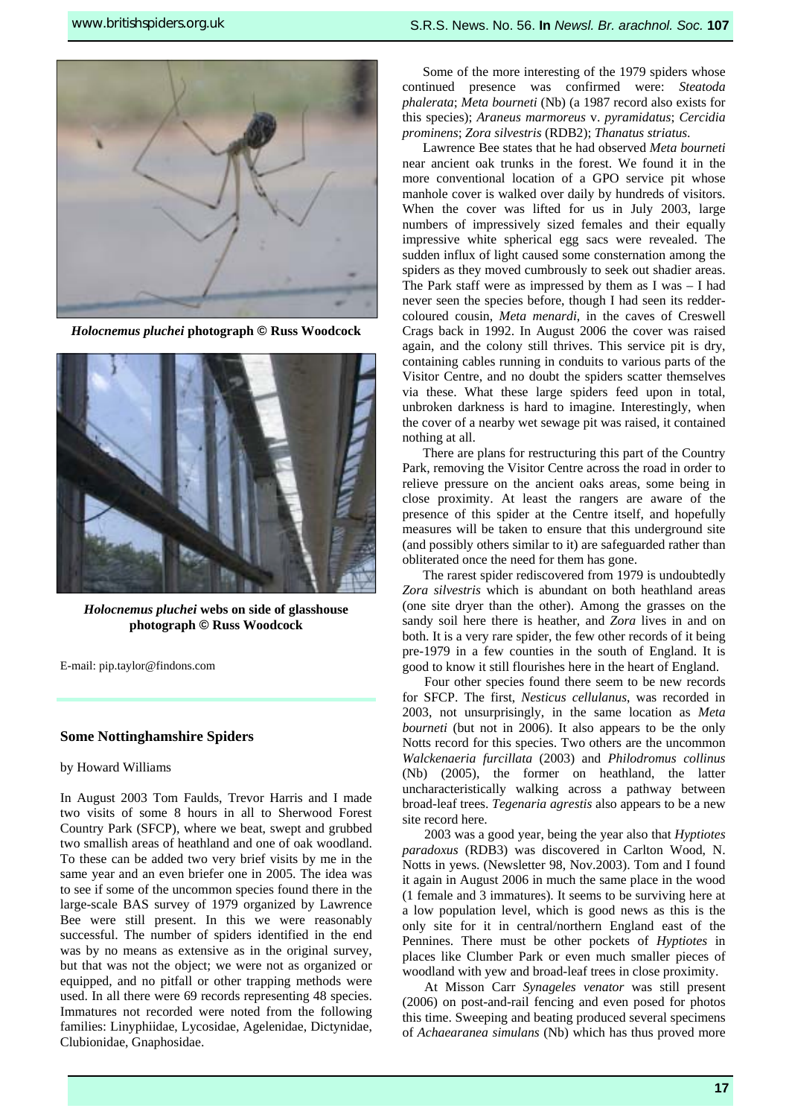

*Holocnemus pluchei* **photograph © Russ Woodcock** 



*Holocnemus pluchei* **webs on side of glasshouse photograph © Russ Woodcock** 

E-mail: pip.taylor@findons.com

## **Some Nottinghamshire Spiders**

#### by Howard Williams

In August 2003 Tom Faulds, Trevor Harris and I made two visits of some 8 hours in all to Sherwood Forest Country Park (SFCP), where we beat, swept and grubbed two smallish areas of heathland and one of oak woodland. To these can be added two very brief visits by me in the same year and an even briefer one in 2005. The idea was to see if some of the uncommon species found there in the large-scale BAS survey of 1979 organized by Lawrence Bee were still present. In this we were reasonably successful. The number of spiders identified in the end was by no means as extensive as in the original survey, but that was not the object; we were not as organized or equipped, and no pitfall or other trapping methods were used. In all there were 69 records representing 48 species. Immatures not recorded were noted from the following families: Linyphiidae, Lycosidae, Agelenidae, Dictynidae, Clubionidae, Gnaphosidae.

Some of the more interesting of the 1979 spiders whose continued presence was confirmed were: *Steatoda phalerata*; *Meta bourneti* (Nb) (a 1987 record also exists for this species); *Araneus marmoreus* v. *pyramidatus*; *Cercidia prominens*; *Zora silvestris* (RDB2); *Thanatus striatus*.

Lawrence Bee states that he had observed *Meta bourneti* near ancient oak trunks in the forest. We found it in the more conventional location of a GPO service pit whose manhole cover is walked over daily by hundreds of visitors. When the cover was lifted for us in July 2003, large numbers of impressively sized females and their equally impressive white spherical egg sacs were revealed. The sudden influx of light caused some consternation among the spiders as they moved cumbrously to seek out shadier areas. The Park staff were as impressed by them as I was – I had never seen the species before, though I had seen its reddercoloured cousin, *Meta menardi*, in the caves of Creswell Crags back in 1992. In August 2006 the cover was raised again, and the colony still thrives. This service pit is dry, containing cables running in conduits to various parts of the Visitor Centre, and no doubt the spiders scatter themselves via these. What these large spiders feed upon in total, unbroken darkness is hard to imagine. Interestingly, when the cover of a nearby wet sewage pit was raised, it contained nothing at all.

There are plans for restructuring this part of the Country Park, removing the Visitor Centre across the road in order to relieve pressure on the ancient oaks areas, some being in close proximity. At least the rangers are aware of the presence of this spider at the Centre itself, and hopefully measures will be taken to ensure that this underground site (and possibly others similar to it) are safeguarded rather than obliterated once the need for them has gone.

The rarest spider rediscovered from 1979 is undoubtedly *Zora silvestris* which is abundant on both heathland areas (one site dryer than the other). Among the grasses on the sandy soil here there is heather, and *Zora* lives in and on both. It is a very rare spider, the few other records of it being pre-1979 in a few counties in the south of England. It is good to know it still flourishes here in the heart of England.

Four other species found there seem to be new records for SFCP. The first, *Nesticus cellulanus*, was recorded in 2003, not unsurprisingly, in the same location as *Meta bourneti* (but not in 2006). It also appears to be the only Notts record for this species. Two others are the uncommon *Walckenaeria furcillata* (2003) and *Philodromus collinus* (Nb) (2005), the former on heathland, the latter uncharacteristically walking across a pathway between broad-leaf trees. *Tegenaria agrestis* also appears to be a new site record here.

2003 was a good year, being the year also that *Hyptiotes paradoxus* (RDB3) was discovered in Carlton Wood, N. Notts in yews. (Newsletter 98, Nov.2003). Tom and I found it again in August 2006 in much the same place in the wood (1 female and 3 immatures). It seems to be surviving here at a low population level, which is good news as this is the only site for it in central/northern England east of the Pennines. There must be other pockets of *Hyptiotes* in places like Clumber Park or even much smaller pieces of woodland with yew and broad-leaf trees in close proximity.

At Misson Carr *Synageles venator* was still present (2006) on post-and-rail fencing and even posed for photos this time. Sweeping and beating produced several specimens of *Achaearanea simulans* (Nb) which has thus proved more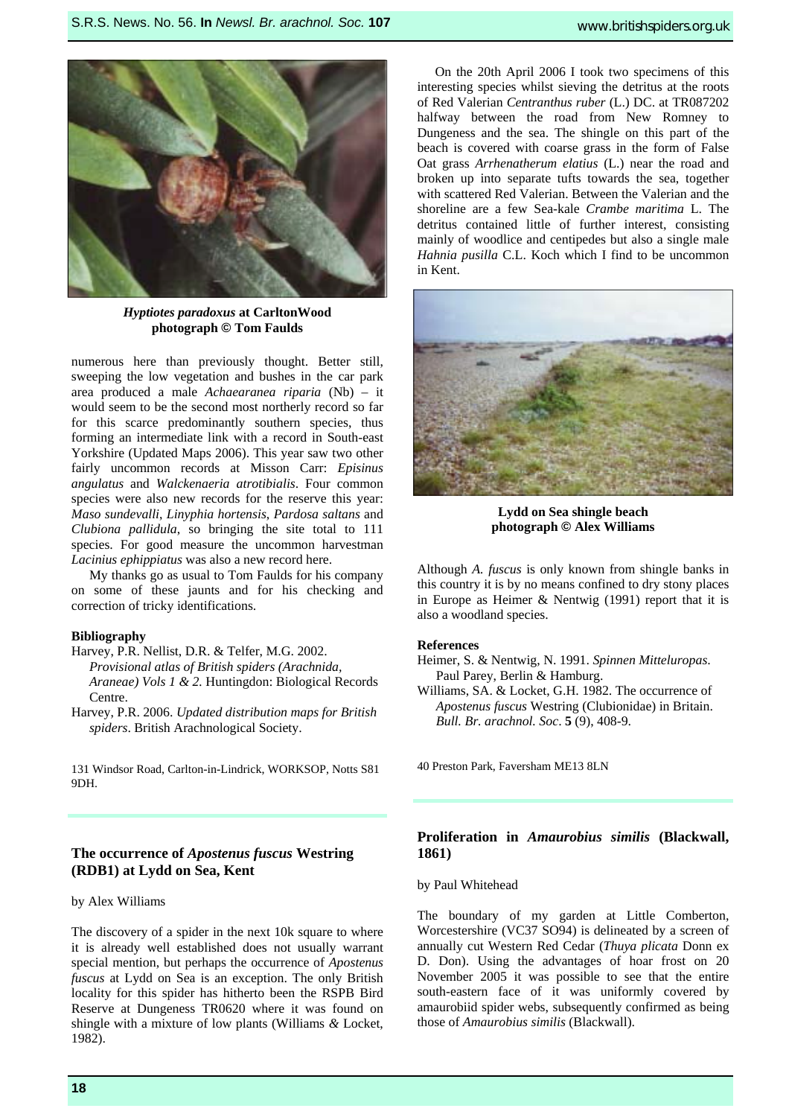

*Hyptiotes paradoxus* **at CarltonWood photograph © Tom Faulds** 

numerous here than previously thought. Better still, sweeping the low vegetation and bushes in the car park area produced a male *Achaearanea riparia* (Nb) – it would seem to be the second most northerly record so far for this scarce predominantly southern species, thus forming an intermediate link with a record in South-east Yorkshire (Updated Maps 2006). This year saw two other fairly uncommon records at Misson Carr: *Episinus angulatus* and *Walckenaeria atrotibialis*. Four common species were also new records for the reserve this year: *Maso sundevalli*, *Linyphia hortensis*, *Pardosa saltans* and *Clubiona pallidula*, so bringing the site total to 111 species. For good measure the uncommon harvestman *Lacinius ephippiatus* was also a new record here.

My thanks go as usual to Tom Faulds for his company on some of these jaunts and for his checking and correction of tricky identifications.

#### **Bibliography**

- Harvey, P.R. Nellist, D.R. & Telfer, M.G. 2002. *Provisional atlas of British spiders (Arachnida, Araneae) Vols 1 & 2.* Huntingdon: Biological Records Centre.
- Harvey, P.R. 2006. *Updated distribution maps for British spiders*. British Arachnological Society.

131 Windsor Road, Carlton-in-Lindrick, WORKSOP, Notts S81 9DH.

# **The occurrence of** *Apostenus fuscus* **Westring (RDB1) at Lydd on Sea, Kent**

#### by Alex Williams

The discovery of a spider in the next 10k square to where it is already well established does not usually warrant special mention, but perhaps the occurrence of *Apostenus fuscus* at Lydd on Sea is an exception. The only British locality for this spider has hitherto been the RSPB Bird Reserve at Dungeness TR0620 where it was found on shingle with a mixture of low plants (Williams *&* Locket, 1982).

On the 20th April 2006 I took two specimens of this interesting species whilst sieving the detritus at the roots of Red Valerian *Centranthus ruber* (L.) DC. at TR087202 halfway between the road from New Romney to Dungeness and the sea. The shingle on this part of the beach is covered with coarse grass in the form of False Oat grass *Arrhenatherum elatius* (L.) near the road and broken up into separate tufts towards the sea, together with scattered Red Valerian. Between the Valerian and the shoreline are a few Sea-kale *Crambe maritima* L. The detritus contained little of further interest, consisting mainly of woodlice and centipedes but also a single male *Hahnia pusilla* C.L. Koch which I find to be uncommon in Kent.



**Lydd on Sea shingle beach photograph © Alex Williams** 

Although *A. fuscus* is only known from shingle banks in this country it is by no means confined to dry stony places in Europe as Heimer & Nentwig (1991) report that it is also a woodland species.

## **References**

- Heimer, S. & Nentwig, N. 1991. *Spinnen Mitteluropas*. Paul Parey, Berlin & Hamburg.
- Williams, SA. & Locket, G.H. 1982. The occurrence of *Apostenus fuscus* Westring (Clubionidae) in Britain. *Bull. Br. arachnol. Soc*. **5** (9), 408-9.

**photograph © Alex Williams**  40 Preston Park, Faversham ME13 8LN

# **Proliferation in** *Amaurobius similis* **(Blackwall, 1861)**

#### by Paul Whitehead

The boundary of my garden at Little Comberton, Worcestershire (VC37 SO94) is delineated by a screen of annually cut Western Red Cedar (*Thuya plicata* Donn ex D. Don). Using the advantages of hoar frost on 20 November 2005 it was possible to see that the entire south-eastern face of it was uniformly covered by amaurobiid spider webs, subsequently confirmed as being those of *Amaurobius similis* (Blackwall).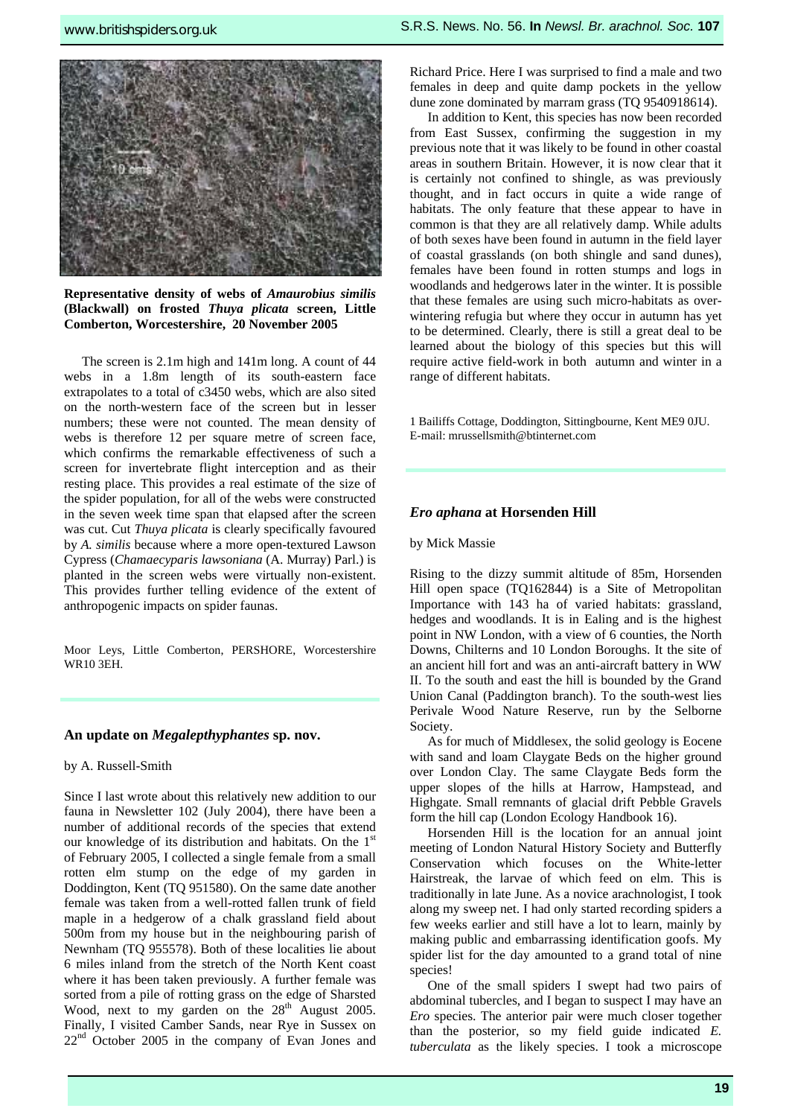

**Representative density of webs of** *Amaurobius similis* **(Blackwall) on frosted** *Thuya plicata* **screen, Little Comberton, Worcestershire, 20 November 2005** 

The screen is 2.1m high and 141m long. A count of 44 webs in a 1.8m length of its south-eastern face extrapolates to a total of c3450 webs, which are also sited on the north-western face of the screen but in lesser numbers; these were not counted. The mean density of webs is therefore 12 per square metre of screen face, which confirms the remarkable effectiveness of such a screen for invertebrate flight interception and as their resting place. This provides a real estimate of the size of the spider population, for all of the webs were constructed in the seven week time span that elapsed after the screen was cut. Cut *Thuya plicata* is clearly specifically favoured by *A. similis* because where a more open-textured Lawson Cypress (*Chamaecyparis lawsoniana* (A. Murray) Parl.) is planted in the screen webs were virtually non-existent. This provides further telling evidence of the extent of anthropogenic impacts on spider faunas.

Moor Leys, Little Comberton, PERSHORE, Worcestershire WR10 3EH.

# **An update on** *Megalepthyphantes* **sp. nov.**

#### by A. Russell-Smith

Since I last wrote about this relatively new addition to our fauna in Newsletter 102 (July 2004), there have been a number of additional records of the species that extend our knowledge of its distribution and habitats. On the  $1<sup>st</sup>$ of February 2005, I collected a single female from a small rotten elm stump on the edge of my garden in Doddington, Kent (TQ 951580). On the same date another female was taken from a well-rotted fallen trunk of field maple in a hedgerow of a chalk grassland field about 500m from my house but in the neighbouring parish of Newnham (TQ 955578). Both of these localities lie about 6 miles inland from the stretch of the North Kent coast where it has been taken previously. A further female was sorted from a pile of rotting grass on the edge of Sharsted Wood, next to my garden on the 28<sup>th</sup> August 2005. Finally, I visited Camber Sands, near Rye in Sussex on  $22<sup>nd</sup>$  October 2005 in the company of Evan Jones and Richard Price. Here I was surprised to find a male and two females in deep and quite damp pockets in the yellow dune zone dominated by marram grass (TQ 9540918614).

In addition to Kent, this species has now been recorded from East Sussex, confirming the suggestion in my previous note that it was likely to be found in other coastal areas in southern Britain. However, it is now clear that it is certainly not confined to shingle, as was previously thought, and in fact occurs in quite a wide range of habitats. The only feature that these appear to have in common is that they are all relatively damp. While adults of both sexes have been found in autumn in the field layer of coastal grasslands (on both shingle and sand dunes), females have been found in rotten stumps and logs in woodlands and hedgerows later in the winter. It is possible that these females are using such micro-habitats as overwintering refugia but where they occur in autumn has yet to be determined. Clearly, there is still a great deal to be learned about the biology of this species but this will require active field-work in both autumn and winter in a range of different habitats.

1 Bailiffs Cottage, Doddington, Sittingbourne, Kent ME9 0JU. E-mail: mrussellsmith@btinternet.com

#### *Ero aphana* **at Horsenden Hill**

by Mick Massie

Rising to the dizzy summit altitude of 85m, Horsenden Hill open space (TQ162844) is a Site of Metropolitan Importance with 143 ha of varied habitats: grassland, hedges and woodlands. It is in Ealing and is the highest point in NW London, with a view of 6 counties, the North Downs, Chilterns and 10 London Boroughs. It the site of an ancient hill fort and was an anti-aircraft battery in WW II. To the south and east the hill is bounded by the Grand Union Canal (Paddington branch). To the south-west lies Perivale Wood Nature Reserve, run by the Selborne Society.

As for much of Middlesex, the solid geology is Eocene with sand and loam Claygate Beds on the higher ground over London Clay. The same Claygate Beds form the upper slopes of the hills at Harrow, Hampstead, and Highgate. Small remnants of glacial drift Pebble Gravels form the hill cap (London Ecology Handbook 16).

Horsenden Hill is the location for an annual joint meeting of London Natural History Society and Butterfly Conservation which focuses on the White-letter Hairstreak, the larvae of which feed on elm. This is traditionally in late June. As a novice arachnologist, I took along my sweep net. I had only started recording spiders a few weeks earlier and still have a lot to learn, mainly by making public and embarrassing identification goofs. My spider list for the day amounted to a grand total of nine species!

One of the small spiders I swept had two pairs of abdominal tubercles, and I began to suspect I may have an *Ero* species. The anterior pair were much closer together than the posterior, so my field guide indicated *E. tuberculata* as the likely species. I took a microscope